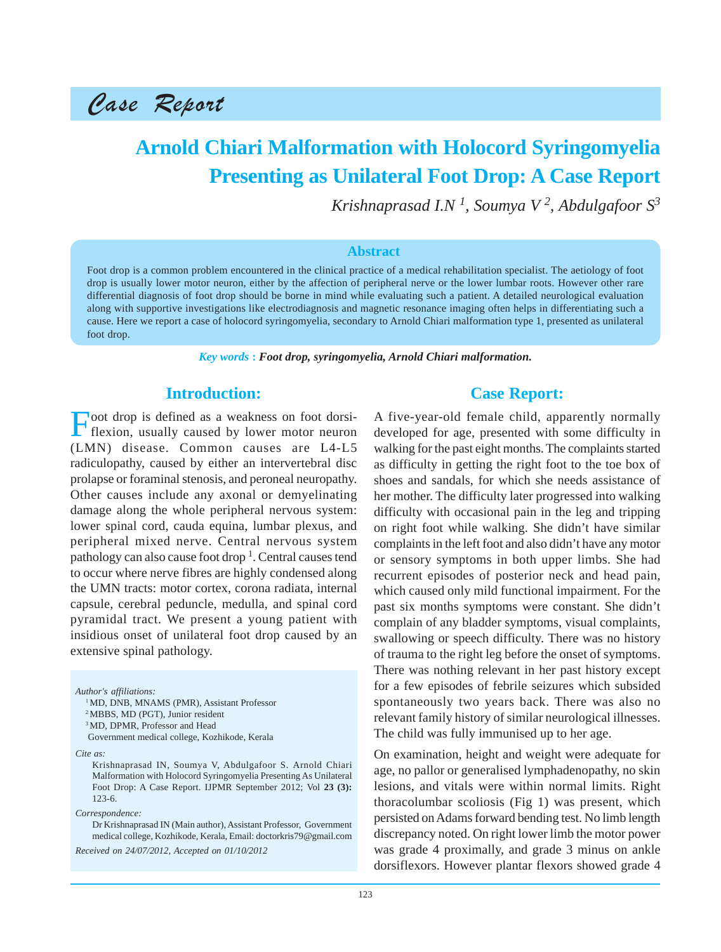Case Report

# **Arnold Chiari Malformation with Holocord Syringomyelia Presenting as Unilateral Foot Drop: A Case Report**

*Krishnaprasad I.N <sup>1</sup> , Soumya V <sup>2</sup> , Abdulgafoor S3*

#### **Abstract**

Foot drop is a common problem encountered in the clinical practice of a medical rehabilitation specialist. The aetiology of foot drop is usually lower motor neuron, either by the affection of peripheral nerve or the lower lumbar roots. However other rare differential diagnosis of foot drop should be borne in mind while evaluating such a patient. A detailed neurological evaluation along with supportive investigations like electrodiagnosis and magnetic resonance imaging often helps in differentiating such a cause. Here we report a case of holocord syringomyelia, secondary to Arnold Chiari malformation type 1, presented as unilateral foot drop.

*Key words* **:** *Foot drop, syringomyelia, Arnold Chiari malformation.*

# **Introduction:**

Foot drop is defined as a weakness on foot dorsi-<br>flexion, usually caused by lower motor neuron (LMN) disease. Common causes are L4-L5 radiculopathy, caused by either an intervertebral disc prolapse or foraminal stenosis, and peroneal neuropathy. Other causes include any axonal or demyelinating damage along the whole peripheral nervous system: lower spinal cord, cauda equina, lumbar plexus, and peripheral mixed nerve. Central nervous system pathology can also cause foot drop <sup>1</sup>. Central causes tend to occur where nerve fibres are highly condensed along the UMN tracts: motor cortex, corona radiata, internal capsule, cerebral peduncle, medulla, and spinal cord pyramidal tract. We present a young patient with insidious onset of unilateral foot drop caused by an extensive spinal pathology.

*Author's affiliations:*

<sup>1</sup> MD, DNB, MNAMS (PMR), Assistant Professor

2 MBBS, MD (PGT), Junior resident

<sup>3</sup> MD, DPMR, Professor and Head

Government medical college, Kozhikode, Kerala

Krishnaprasad IN, Soumya V, Abdulgafoor S. Arnold Chiari Malformation with Holocord Syringomyelia Presenting As Unilateral Foot Drop: A Case Report. IJPMR September 2012; Vol **23 (3):** 123-6.

*Correspondence:*

Dr Krishnaprasad IN (Main author), Assistant Professor, Government medical college, Kozhikode, Kerala, Email: doctorkris79@gmail.com

*Received on 24/07/2012, Accepted on 01/10/2012*

### **Case Report:**

A five-year-old female child, apparently normally developed for age, presented with some difficulty in walking for the past eight months. The complaints started as difficulty in getting the right foot to the toe box of shoes and sandals, for which she needs assistance of her mother. The difficulty later progressed into walking difficulty with occasional pain in the leg and tripping on right foot while walking. She didn't have similar complaints in the left foot and also didn't have any motor or sensory symptoms in both upper limbs. She had recurrent episodes of posterior neck and head pain, which caused only mild functional impairment. For the past six months symptoms were constant. She didn't complain of any bladder symptoms, visual complaints, swallowing or speech difficulty. There was no history of trauma to the right leg before the onset of symptoms. There was nothing relevant in her past history except for a few episodes of febrile seizures which subsided spontaneously two years back. There was also no relevant family history of similar neurological illnesses. The child was fully immunised up to her age.

On examination, height and weight were adequate for age, no pallor or generalised lymphadenopathy, no skin lesions, and vitals were within normal limits. Right thoracolumbar scoliosis (Fig 1) was present, which persisted on Adams forward bending test. No limb length discrepancy noted. On right lower limb the motor power was grade 4 proximally, and grade 3 minus on ankle dorsiflexors. However plantar flexors showed grade 4

*Cite as:*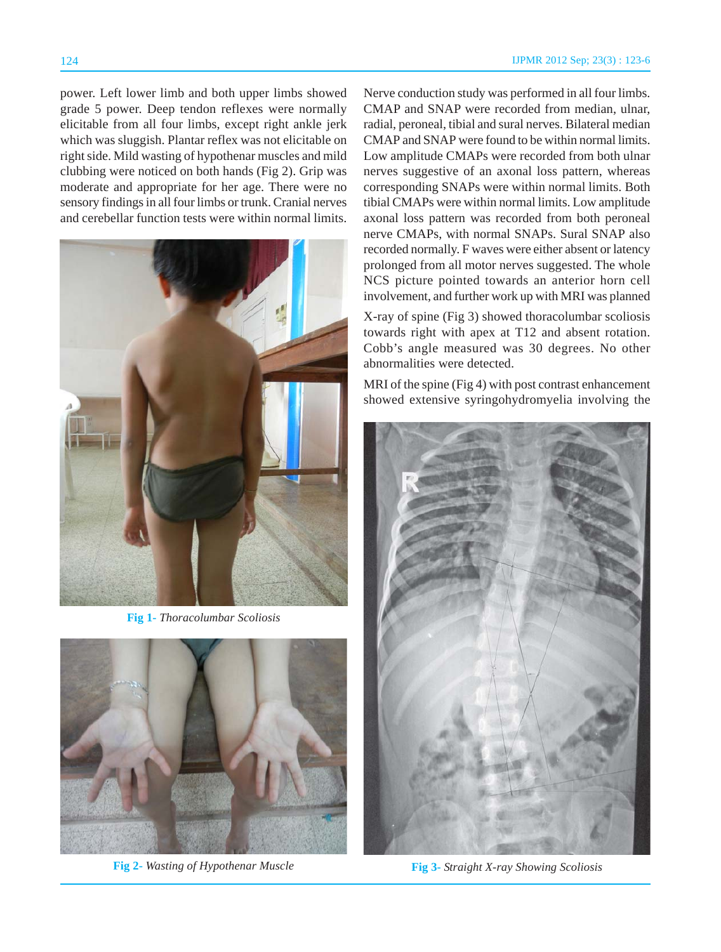power. Left lower limb and both upper limbs showed grade 5 power. Deep tendon reflexes were normally elicitable from all four limbs, except right ankle jerk which was sluggish. Plantar reflex was not elicitable on right side. Mild wasting of hypothenar muscles and mild clubbing were noticed on both hands (Fig 2). Grip was moderate and appropriate for her age. There were no sensory findings in all four limbs or trunk. Cranial nerves and cerebellar function tests were within normal limits.



**Fig 1-** *Thoracolumbar Scoliosis*



**Fig 2-** *Wasting of Hypothenar Muscle*

Nerve conduction study was performed in all four limbs. CMAP and SNAP were recorded from median, ulnar, radial, peroneal, tibial and sural nerves. Bilateral median CMAP and SNAP were found to be within normal limits. Low amplitude CMAPs were recorded from both ulnar nerves suggestive of an axonal loss pattern, whereas corresponding SNAPs were within normal limits. Both tibial CMAPs were within normal limits. Low amplitude axonal loss pattern was recorded from both peroneal nerve CMAPs, with normal SNAPs. Sural SNAP also recorded normally. F waves were either absent or latency prolonged from all motor nerves suggested. The whole NCS picture pointed towards an anterior horn cell involvement, and further work up with MRI was planned

X-ray of spine (Fig 3) showed thoracolumbar scoliosis towards right with apex at T12 and absent rotation. Cobb's angle measured was 30 degrees. No other abnormalities were detected.

MRI of the spine (Fig 4) with post contrast enhancement showed extensive syringohydromyelia involving the



**Fig 3-** *Straight X-ray Showing Scoliosis*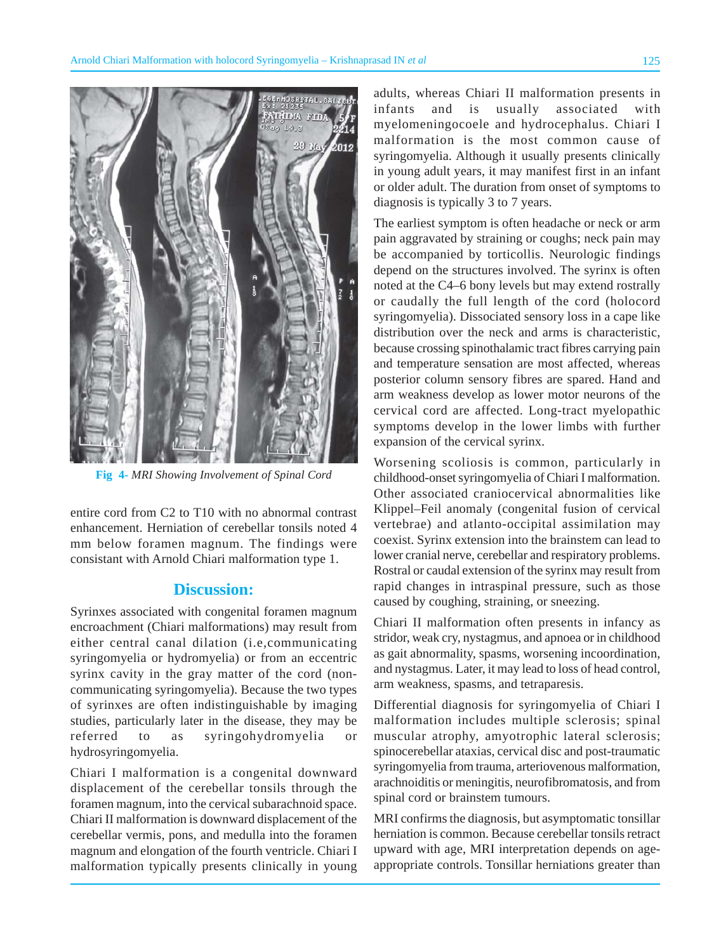

**Fig 4-** *MRI Showing Involvement of Spinal Cord*

entire cord from C2 to T10 with no abnormal contrast enhancement. Herniation of cerebellar tonsils noted 4 mm below foramen magnum. The findings were consistant with Arnold Chiari malformation type 1.

## **Discussion:**

Syrinxes associated with congenital foramen magnum encroachment (Chiari malformations) may result from either central canal dilation (i.e,communicating syringomyelia or hydromyelia) or from an eccentric syrinx cavity in the gray matter of the cord (noncommunicating syringomyelia). Because the two types of syrinxes are often indistinguishable by imaging studies, particularly later in the disease, they may be referred to as syringohydromyelia or hydrosyringomyelia.

Chiari I malformation is a congenital downward displacement of the cerebellar tonsils through the foramen magnum, into the cervical subarachnoid space. Chiari II malformation is downward displacement of the cerebellar vermis, pons, and medulla into the foramen magnum and elongation of the fourth ventricle. Chiari I malformation typically presents clinically in young

adults, whereas Chiari II malformation presents in infants and is usually associated with myelomeningocoele and hydrocephalus. Chiari I malformation is the most common cause of syringomyelia. Although it usually presents clinically in young adult years, it may manifest first in an infant or older adult. The duration from onset of symptoms to diagnosis is typically 3 to 7 years.

The earliest symptom is often headache or neck or arm pain aggravated by straining or coughs; neck pain may be accompanied by torticollis. Neurologic findings depend on the structures involved. The syrinx is often noted at the C4–6 bony levels but may extend rostrally or caudally the full length of the cord (holocord syringomyelia). Dissociated sensory loss in a cape like distribution over the neck and arms is characteristic, because crossing spinothalamic tract fibres carrying pain and temperature sensation are most affected, whereas posterior column sensory fibres are spared. Hand and arm weakness develop as lower motor neurons of the cervical cord are affected. Long-tract myelopathic symptoms develop in the lower limbs with further expansion of the cervical syrinx.

Worsening scoliosis is common, particularly in childhood-onset syringomyelia of Chiari I malformation. Other associated craniocervical abnormalities like Klippel–Feil anomaly (congenital fusion of cervical vertebrae) and atlanto-occipital assimilation may coexist. Syrinx extension into the brainstem can lead to lower cranial nerve, cerebellar and respiratory problems. Rostral or caudal extension of the syrinx may result from rapid changes in intraspinal pressure, such as those caused by coughing, straining, or sneezing.

Chiari II malformation often presents in infancy as stridor, weak cry, nystagmus, and apnoea or in childhood as gait abnormality, spasms, worsening incoordination, and nystagmus. Later, it may lead to loss of head control, arm weakness, spasms, and tetraparesis.

Differential diagnosis for syringomyelia of Chiari I malformation includes multiple sclerosis; spinal muscular atrophy, amyotrophic lateral sclerosis; spinocerebellar ataxias, cervical disc and post-traumatic syringomyelia from trauma, arteriovenous malformation, arachnoiditis or meningitis, neurofibromatosis, and from spinal cord or brainstem tumours.

MRI confirms the diagnosis, but asymptomatic tonsillar herniation is common. Because cerebellar tonsils retract upward with age, MRI interpretation depends on ageappropriate controls. Tonsillar herniations greater than